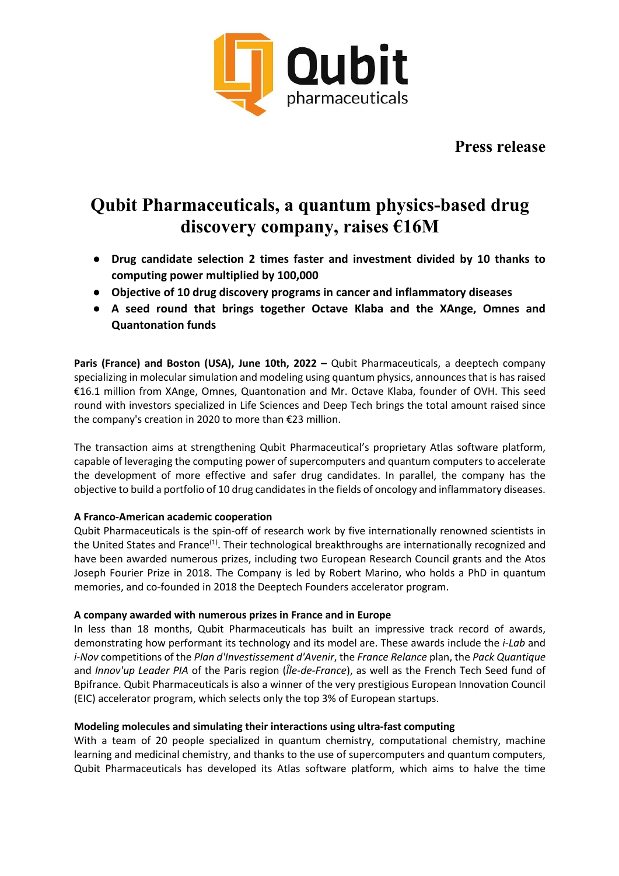

**Press release**

# **Qubit Pharmaceuticals, a quantum physics-based drug discovery company, raises €16M**

- **Drug candidate selection 2 times faster and investment divided by 10 thanks to computing power multiplied by 100,000**
- **Objective of 10 drug discovery programs in cancer and inflammatory diseases**
- **A seed round that brings together Octave Klaba and the XAnge, Omnes and Quantonation funds**

**Paris (France) and Boston (USA), June 10th, 2022 –** Qubit Pharmaceuticals, a deeptech company specializing in molecular simulation and modeling using quantum physics, announces that is has raised €16.1 million from XAnge, Omnes, Quantonation and Mr. Octave Klaba, founder of OVH. This seed round with investors specialized in Life Sciences and Deep Tech brings the total amount raised since the company's creation in 2020 to more than €23 million.

The transaction aims at strengthening Qubit Pharmaceutical's proprietary Atlas software platform, capable of leveraging the computing power of supercomputers and quantum computers to accelerate the development of more effective and safer drug candidates. In parallel, the company has the objective to build a portfolio of 10 drug candidates in the fields of oncology and inflammatory diseases.

# **A Franco-American academic cooperation**

Qubit Pharmaceuticals is the spin-off of research work by five internationally renowned scientists in the United States and France<sup>(1)</sup>. Their technological breakthroughs are internationally recognized and have been awarded numerous prizes, including two European Research Council grants and the Atos Joseph Fourier Prize in 2018. The Company is led by Robert Marino, who holds a PhD in quantum memories, and co-founded in 2018 the Deeptech Founders accelerator program.

# **A company awarded with numerous prizes in France and in Europe**

In less than 18 months, Qubit Pharmaceuticals has built an impressive track record of awards, demonstrating how performant its technology and its model are. These awards include the *i-Lab* and *i-Nov* competitions of the *Plan d'Investissement d'Avenir*, the *France Relance* plan, the *Pack Quantique* and *Innov'up Leader PIA* of the Paris region (*Île-de-France*), as well as the French Tech Seed fund of Bpifrance. Qubit Pharmaceuticals is also a winner of the very prestigious European Innovation Council (EIC) accelerator program, which selects only the top 3% of European startups.

# **Modeling molecules and simulating their interactions using ultra-fast computing**

With a team of 20 people specialized in quantum chemistry, computational chemistry, machine learning and medicinal chemistry, and thanks to the use of supercomputers and quantum computers, Qubit Pharmaceuticals has developed its Atlas software platform, which aims to halve the time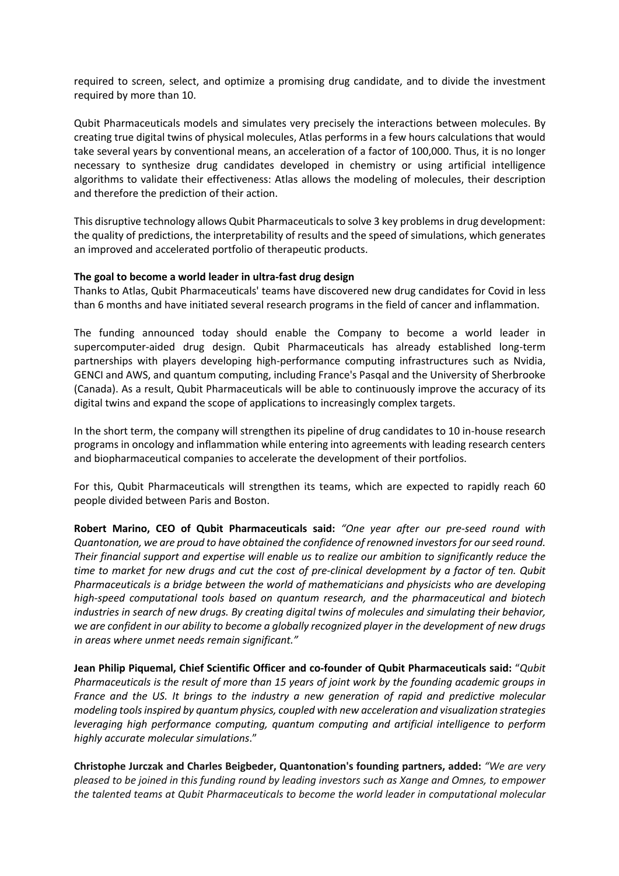required to screen, select, and optimize a promising drug candidate, and to divide the investment required by more than 10.

Qubit Pharmaceuticals models and simulates very precisely the interactions between molecules. By creating true digital twins of physical molecules, Atlas performs in a few hours calculations that would take several years by conventional means, an acceleration of a factor of 100,000. Thus, it is no longer necessary to synthesize drug candidates developed in chemistry or using artificial intelligence algorithms to validate their effectiveness: Atlas allows the modeling of molecules, their description and therefore the prediction of their action.

This disruptive technology allows Qubit Pharmaceuticals to solve 3 key problems in drug development: the quality of predictions, the interpretability of results and the speed of simulations, which generates an improved and accelerated portfolio of therapeutic products.

# **The goal to become a world leader in ultra-fast drug design**

Thanks to Atlas, Qubit Pharmaceuticals' teams have discovered new drug candidates for Covid in less than 6 months and have initiated several research programs in the field of cancer and inflammation.

The funding announced today should enable the Company to become a world leader in supercomputer-aided drug design. Qubit Pharmaceuticals has already established long-term partnerships with players developing high-performance computing infrastructures such as Nvidia, GENCI and AWS, and quantum computing, including France's Pasqal and the University of Sherbrooke (Canada). As a result, Qubit Pharmaceuticals will be able to continuously improve the accuracy of its digital twins and expand the scope of applications to increasingly complex targets.

In the short term, the company will strengthen its pipeline of drug candidates to 10 in-house research programs in oncology and inflammation while entering into agreements with leading research centers and biopharmaceutical companies to accelerate the development of their portfolios.

For this, Qubit Pharmaceuticals will strengthen its teams, which are expected to rapidly reach 60 people divided between Paris and Boston.

**Robert Marino, CEO of Qubit Pharmaceuticals said:** *"One year after our pre-seed round with Quantonation, we are proud to have obtained the confidence of renowned investors for our seed round. Their financial support and expertise will enable us to realize our ambition to significantly reduce the time to market for new drugs and cut the cost of pre-clinical development by a factor of ten. Qubit Pharmaceuticals is a bridge between the world of mathematicians and physicists who are developing high-speed computational tools based on quantum research, and the pharmaceutical and biotech industries in search of new drugs. By creating digital twins of molecules and simulating their behavior, we are confident in our ability to become a globally recognized player in the development of new drugs in areas where unmet needs remain significant."*

**Jean Philip Piquemal, Chief Scientific Officer and co-founder of Qubit Pharmaceuticals said:** "*Qubit Pharmaceuticals is the result of more than 15 years of joint work by the founding academic groups in France and the US. It brings to the industry a new generation of rapid and predictive molecular modeling tools inspired by quantum physics, coupled with new acceleration and visualization strategies leveraging high performance computing, quantum computing and artificial intelligence to perform highly accurate molecular simulations*."

**Christophe Jurczak and Charles Beigbeder, Quantonation's founding partners, added:** *"We are very pleased to be joined in this funding round by leading investors such as Xange and Omnes, to empower the talented teams at Qubit Pharmaceuticals to become the world leader in computational molecular*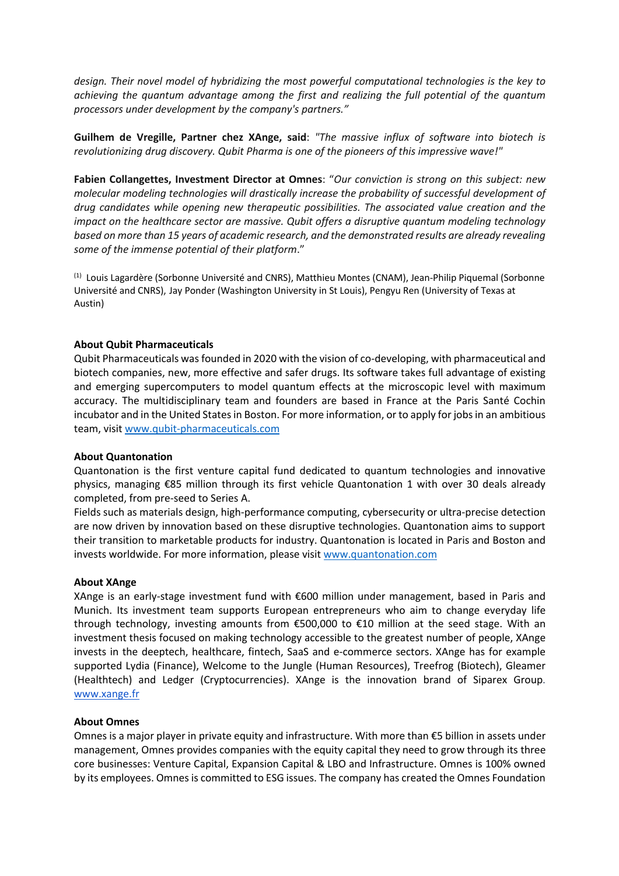*design. Their novel model of hybridizing the most powerful computational technologies is the key to achieving the quantum advantage among the first and realizing the full potential of the quantum processors under development by the company's partners."*

**Guilhem de Vregille, Partner chez XAnge, said**: *"The massive influx of software into biotech is revolutionizing drug discovery. Qubit Pharma is one of the pioneers of this impressive wave!"*

**Fabien Collangettes, Investment Director at Omnes**: "*Our conviction is strong on this subject: new molecular modeling technologies will drastically increase the probability of successful development of drug candidates while opening new therapeutic possibilities. The associated value creation and the impact on the healthcare sector are massive. Qubit offers a disruptive quantum modeling technology based on more than 15 years of academic research, and the demonstrated results are already revealing some of the immense potential of their platform*."

(1) Louis Lagardère (Sorbonne Université and CNRS), Matthieu Montes (CNAM), Jean-Philip Piquemal (Sorbonne Université and CNRS), Jay Ponder (Washington University in St Louis), Pengyu Ren (University of Texas at Austin)

# **About Qubit Pharmaceuticals**

Qubit Pharmaceuticals was founded in 2020 with the vision of co-developing, with pharmaceutical and biotech companies, new, more effective and safer drugs. Its software takes full advantage of existing and emerging supercomputers to model quantum effects at the microscopic level with maximum accuracy. The multidisciplinary team and founders are based in France at the Paris Santé Cochin incubator and in the United States in Boston. For more information, or to apply for jobs in an ambitious team, visit [www.qubit-pharmaceuticals](http://www.qubitpharmaceuticals/).com

#### **About Quantonation**

Quantonation is the first venture capital fund dedicated to quantum technologies and innovative physics, managing €85 million through its first vehicle Quantonation 1 with over 30 deals already completed, from pre-seed to Series A.

Fields such as materials design, high-performance computing, cybersecurity or ultra-precise detection are now driven by innovation based on these disruptive technologies. Quantonation aims to support their transition to marketable products for industry. Quantonation is located in Paris and Boston and invests worldwide. For more information, please visit [www.quantonation.com](http://www.quantonation.com/)

#### **About XAnge**

XAnge is an early-stage investment fund with €600 million under management, based in Paris and Munich. Its investment team supports European entrepreneurs who aim to change everyday life through technology, investing amounts from €500,000 to €10 million at the seed stage. With an investment thesis focused on making technology accessible to the greatest number of people, XAnge invests in the deeptech, healthcare, fintech, SaaS and e-commerce sectors. XAnge has for example supported Lydia (Finance), Welcome to the Jungle (Human Resources), Treefrog (Biotech), Gleamer (Healthtech) and Ledger (Cryptocurrencies). XAnge is the innovation brand of Siparex Group. [www.xange.fr](http://www.xange.fr/)

#### **About Omnes**

Omnes is a major player in private equity and infrastructure. With more than €5 billion in assets under management, Omnes provides companies with the equity capital they need to grow through its three core businesses: Venture Capital, Expansion Capital & LBO and Infrastructure. Omnes is 100% owned by its employees. Omnes is committed to ESG issues. The company has created the Omnes Foundation